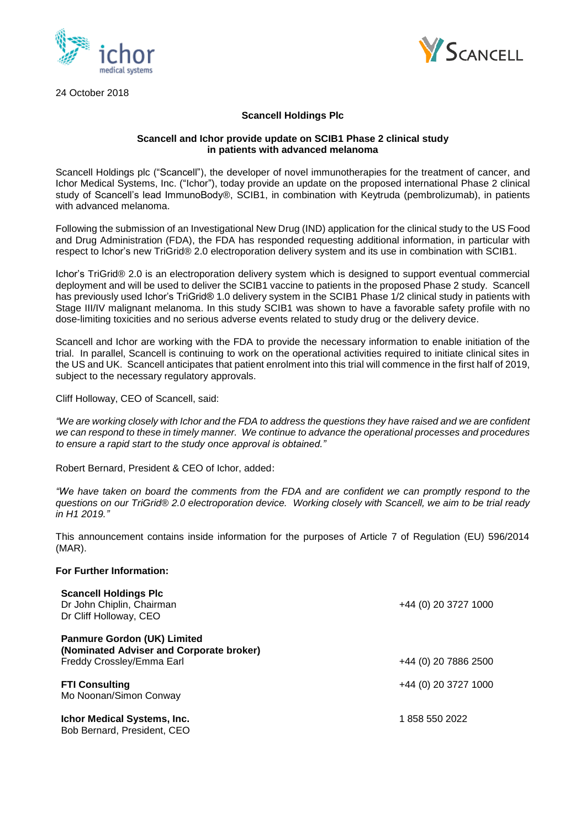

24 October 2018



# **Scancell Holdings Plc**

### **Scancell and Ichor provide update on SCIB1 Phase 2 clinical study in patients with advanced melanoma**

Scancell Holdings plc ("Scancell"), the developer of novel immunotherapies for the treatment of cancer, and Ichor Medical Systems, Inc. ("Ichor"), today provide an update on the proposed international Phase 2 clinical study of Scancell's lead ImmunoBody®, SCIB1, in combination with Keytruda (pembrolizumab), in patients with advanced melanoma.

Following the submission of an Investigational New Drug (IND) application for the clinical study to the US Food and Drug Administration (FDA), the FDA has responded requesting additional information, in particular with respect to Ichor's new TriGrid® 2.0 electroporation delivery system and its use in combination with SCIB1.

Ichor's TriGrid® 2.0 is an electroporation delivery system which is designed to support eventual commercial deployment and will be used to deliver the SCIB1 vaccine to patients in the proposed Phase 2 study. Scancell has previously used Ichor's TriGrid® 1.0 delivery system in the SCIB1 Phase 1/2 clinical study in patients with Stage III/IV malignant melanoma. In this study SCIB1 was shown to have a favorable safety profile with no dose-limiting toxicities and no serious adverse events related to study drug or the delivery device.

Scancell and Ichor are working with the FDA to provide the necessary information to enable initiation of the trial. In parallel, Scancell is continuing to work on the operational activities required to initiate clinical sites in the US and UK. Scancell anticipates that patient enrolment into this trial will commence in the first half of 2019, subject to the necessary regulatory approvals.

Cliff Holloway, CEO of Scancell, said:

*"We are working closely with Ichor and the FDA to address the questions they have raised and we are confident we can respond to these in timely manner. We continue to advance the operational processes and procedures to ensure a rapid start to the study once approval is obtained."*

Robert Bernard, President & CEO of Ichor, added:

*"We have taken on board the comments from the FDA and are confident we can promptly respond to the questions on our TriGrid® 2.0 electroporation device. Working closely with Scancell, we aim to be trial ready in H1 2019."*

This announcement contains inside information for the purposes of Article 7 of Regulation (EU) 596/2014 (MAR).

### **For Further Information:**

| <b>Scancell Holdings Plc</b><br>Dr John Chiplin, Chairman<br>Dr Cliff Holloway, CEO                         | +44 (0) 20 3727 1000 |
|-------------------------------------------------------------------------------------------------------------|----------------------|
| <b>Panmure Gordon (UK) Limited</b><br>(Nominated Adviser and Corporate broker)<br>Freddy Crossley/Emma Earl | +44 (0) 20 7886 2500 |
| <b>FTI Consulting</b><br>Mo Noonan/Simon Conway                                                             | +44 (0) 20 3727 1000 |
| <b>Ichor Medical Systems, Inc.</b><br>Bob Bernard, President, CEO                                           | 1858 550 2022        |